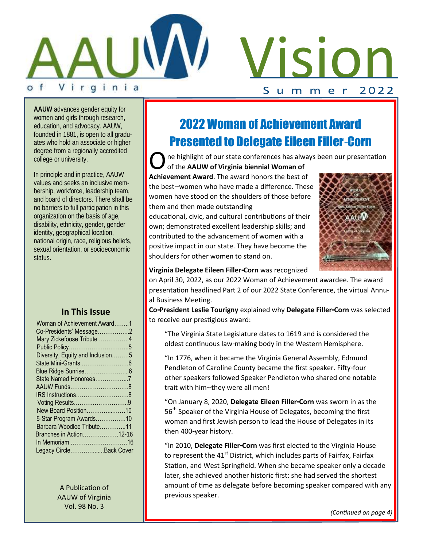

VISION

**AAUW** advances gender equity for women and girls through research, education, and advocacy. AAUW, founded in 1881, is open to all graduates who hold an associate or higher degree from a regionally accredited college or university.

In principle and in practice, AAUW values and seeks an inclusive membership, workforce, leadership team, and board of directors. There shall be no barriers to full participation in this organization on the basis of age, disability, ethnicity, gender, gender identity, geographical location, national origin, race, religious beliefs, sexual orientation, or socioeconomic status.

#### **In This Issue**

| Woman of Achievement Award1      |  |
|----------------------------------|--|
| Co-Presidents' Message2          |  |
| Mary Zickefoose Tribute 4        |  |
|                                  |  |
| Diversity, Equity and Inclusion5 |  |
|                                  |  |
|                                  |  |
| State Named Honorees7            |  |
|                                  |  |
|                                  |  |
|                                  |  |
| New Board Position10             |  |
| 5-Star Program Awards10          |  |
| Barbara Woodlee Tribute11        |  |
| <b>Branches in Action12-16</b>   |  |
|                                  |  |
| Legacy CircleBack Cover          |  |
|                                  |  |

A Publication of AAUW of Virginia Vol. 98 No. 3

## 2022 Woman of Achievement Award Presented to Delegate Eileen Filler-Corn

**O** ne highlight of our state conferences has alwa<br>of the **AAUW of Virginia biennial Woman of**<br>**Achievement Award**. The award honors the best of ne highlight of our state conferences has always been our presentation of the **AAUW of Virginia biennial Woman of** 

the best--women who have made a difference. These women have stood on the shoulders of those before them and then made outstanding

educational, civic, and cultural contributions of their own; demonstrated excellent leadership skills; and contributed to the advancement of women with a positive impact in our state. They have become the shoulders for other women to stand on.



**Virginia Delegate Eileen Filler-Corn** was recognized

on April 30, 2022, as our 2022 Woman of Achievement awardee. The award presentation headlined Part 2 of our 2022 State Conference, the virtual Annual Business Meeting.

**Co-President Leslie Tourigny** explained why **Delegate Filler-Corn** was selected to receive our prestigious award:

"The Virginia State Legislature dates to 1619 and is considered the oldest continuous law-making body in the Western Hemisphere.

"In 1776, when it became the Virginia General Assembly, Edmund Pendleton of Caroline County became the first speaker. Fifty-four other speakers followed Speaker Pendleton who shared one notable trait with him--they were all men!

"On January 8, 2020, **Delegate Eileen Filler-Corn** was sworn in as the 56<sup>th</sup> Speaker of the Virginia House of Delegates, becoming the first woman and first Jewish person to lead the House of Delegates in its then 400-year history.

"In 2010, **Delegate Filler-Corn** was first elected to the Virginia House to represent the  $41<sup>st</sup>$  District, which includes parts of Fairfax, Fairfax Station, and West Springfield. When she became speaker only a decade later, she achieved another historic first: she had served the shortest amount of time as delegate before becoming speaker compared with any previous speaker.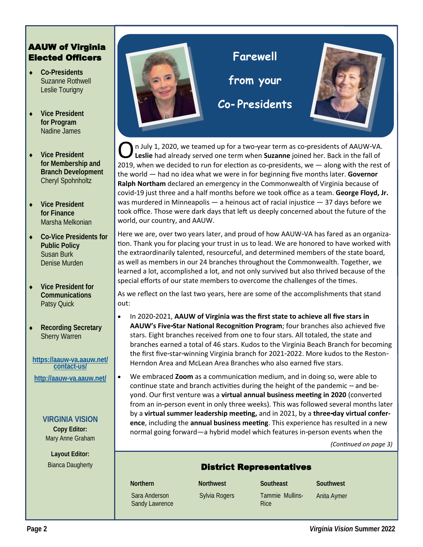#### AAUW of Virginia Elected Officers

- **Co-Presidents** Suzanne Rothwell Leslie Tourigny
- **Vice President for Program** Nadine James
- **Vice President for Membership and Branch Development** Cheryl Spohnholtz
- **Vice President for Finance** Marsha Melkonian
- **Co-Vice Presidents for Public Policy** Susan Burk Denise Murden
- **Vice President for Communications** Patsy Quick
- **Recording Secretary** Sherry Warren

**[https://aauw-va.aauw.net/](https://aauw-va.aauw.net/contact-us/) [contact-us/](https://aauw-va.aauw.net/contact-us/) <http://aauw-va.aauw.net/>**

#### **VIRGINIA VISION Copy Editor:**

Mary Anne Graham

**Layout Editor:** Bianca Daugherty



**O**n July 1, 2020, we teamed up for a two-year term as co-presidents of AAUW-VA.<br>Leslie had already served one term when **Suzanne** joined her. Back in the fall of 2019, when we decided to run for election as co-presidents, n July 1, 2020, we teamed up for a two-year term as co-presidents of AAUW-VA. **Leslie** had already served one term when **Suzanne** joined her. Back in the fall of the world — had no idea what we were in for beginning five months later. **Governor Ralph Northam** declared an emergency in the Commonwealth of Virginia because of covid-19 just three and a half months before we took office as a team. **George Floyd, Jr.**  was murdered in Minneapolis  $-$  a heinous act of racial injustice  $-$  37 days before we took office. Those were dark days that left us deeply concerned about the future of the world, our country, and AAUW.

Here we are, over two years later, and proud of how AAUW-VA has fared as an organization. Thank you for placing your trust in us to lead. We are honored to have worked with the extraordinarily talented, resourceful, and determined members of the state board, as well as members in our 24 branches throughout the Commonwealth. Together, we learned a lot, accomplished a lot, and not only survived but also thrived because of the special efforts of our state members to overcome the challenges of the times.

As we reflect on the last two years, here are some of the accomplishments that stand out:

- In 2020-2021, **AAUW of Virginia was the first state to achieve all five stars in AAUW's Five-Star National Recognition Program**; four branches also achieved five stars. Eight branches received from one to four stars. All totaled, the state and branches earned a total of 46 stars. Kudos to the Virginia Beach Branch for becoming the first five-star-winning Virginia branch for 2021-2022. More kudos to the Reston-Herndon Area and McLean Area Branches who also earned five stars.
- We embraced **Zoom** as a communication medium, and in doing so, were able to continue state and branch activities during the height of the pandemic -- and beyond. Our first venture was a **virtual annual business meeting in 2020** (converted from an in-person event in only three weeks). This was followed several months later by a **virtual summer leadership meeting,** and in 2021, by a **three-day virtual conference**, including the **annual business meeting**. This experience has resulted in a new normal going forward—a hybrid model which features in-person events when the

*(Continued on page 3)*

#### District Representatives

Sara Anderson

Sandy Lawrence

Sylvia Rogers Tammie Mullins-Rice

**Northern Northwest Southeast Southwest** Anita Aymer

**Page 2** *Virginia Vision* **Summer 2022**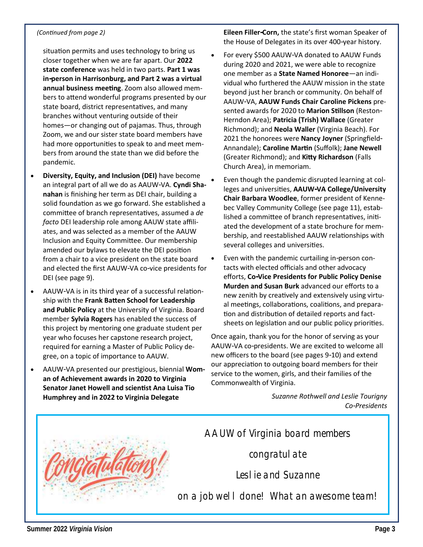#### *(Continued from page 2)*

situation permits and uses technology to bring us closer together when we are far apart. Our **2022 state conference** was held in two parts. **Part 1 was in-person in Harrisonburg, and Part 2 was a virtual annual business meeting**. Zoom also allowed members to attend wonderful programs presented by our state board, district representatives, and many branches without venturing outside of their homes—or changing out of pajamas. Thus, through Zoom, we and our sister state board members have had more opportunities to speak to and meet members from around the state than we did before the pandemic.

- **Diversity, Equity, and Inclusion (DEI)** have become an integral part of all we do as AAUW-VA. **Cyndi Shanahan** is finishing her term as DEI chair, building a solid foundation as we go forward. She established a committee of branch representatives, assumed a *de facto* DEI leadership role among AAUW state affiliates, and was selected as a member of the AAUW Inclusion and Equity Committee. Our membership amended our bylaws to elevate the DEI position from a chair to a vice president on the state board and elected the first AAUW-VA co-vice presidents for DEI (see page 9).
- AAUW-VA is in its third year of a successful relationship with the **Frank Batten School for Leadership and Public Policy** at the University of Virginia. Board member **Sylvia Rogers** has enabled the success of this project by mentoring one graduate student per year who focuses her capstone research project, required for earning a Master of Public Policy degree, on a topic of importance to AAUW.
- AAUW-VA presented our prestigious, biennial **Woman of Achievement awards in 2020 to Virginia Senator Janet Howell and scientist Ana Luisa Tio Humphrey and in 2022 to Virginia Delegate**

**Eileen Filler-Corn,** the state's first woman Speaker of the House of Delegates in its over 400-year history.

- For every \$500 AAUW-VA donated to AAUW Funds during 2020 and 2021, we were able to recognize one member as a **State Named Honoree**—an individual who furthered the AAUW mission in the state beyond just her branch or community. On behalf of AAUW-VA, **AAUW Funds Chair Caroline Pickens** presented awards for 2020 to **Marion Stillson** (Reston-Herndon Area); **Patricia (Trish) Wallace** (Greater Richmond); and **Neola Waller** (Virginia Beach). For 2021 the honorees were **Nancy Joyner** (Springfield-Annandale); **Caroline Martin** (Suffolk); **Jane Newell**  (Greater Richmond); and **Kitty Richardson** (Falls Church Area), in memoriam.
- Even though the pandemic disrupted learning at colleges and universities, **AAUW-VA College/University Chair Barbara Woodlee**, former president of Kennebec Valley Community College (see page 11), established a committee of branch representatives, initiated the development of a state brochure for membership, and reestablished AAUW relationships with several colleges and universities.
- Even with the pandemic curtailing in-person contacts with elected officials and other advocacy efforts, **Co-Vice Presidents for Public Policy Denise Murden and Susan Burk** advanced our efforts to a new zenith by creatively and extensively using virtual meetings, collaborations, coalitions, and preparation and distribution of detailed reports and factsheets on legislation and our public policy priorities.

Once again, thank you for the honor of serving as your AAUW-VA co-presidents. We are excited to welcome all new officers to the board (see pages 9-10) and extend our appreciation to outgoing board members for their service to the women, girls, and their families of the Commonwealth of Virginia.

> *Suzanne Rothwell and Leslie Tourigny Co-Presidents*



*AAUW of Virginia board members* 

*congratulate* 

*Leslie and Suzanne*

*on a job well done! What an awesome team!*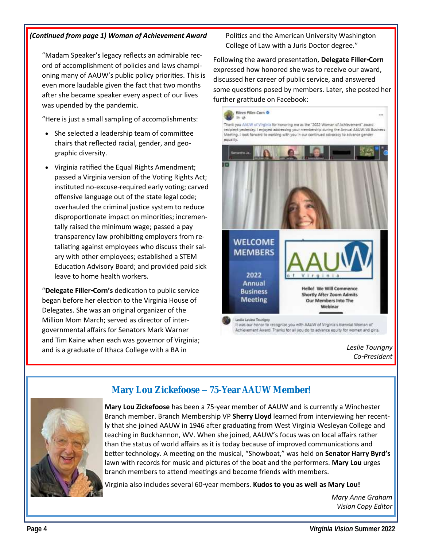#### *(Continued from page 1) Woman of Achievement Award*

"Madam Speaker's legacy reflects an admirable record of accomplishment of policies and laws championing many of AAUW's public policy priorities. This is even more laudable given the fact that two months after she became speaker every aspect of our lives was upended by the pandemic.

"Here is just a small sampling of accomplishments:

- She selected a leadership team of committee chairs that reflected racial, gender, and geographic diversity.
- Virginia ratified the Equal Rights Amendment; passed a Virginia version of the Voting Rights Act; instituted no-excuse-required early voting; carved offensive language out of the state legal code; overhauled the criminal justice system to reduce disproportionate impact on minorities; incrementally raised the minimum wage; passed a pay transparency law prohibiting employers from retaliating against employees who discuss their salary with other employees; established a STEM Education Advisory Board; and provided paid sick leave to home health workers.

"**Delegate Filler-Corn's** dedication to public service began before her election to the Virginia House of Delegates. She was an original organizer of the Million Mom March; served as director of intergovernmental affairs for Senators Mark Warner and Tim Kaine when each was governor of Virginia; and is a graduate of Ithaca College with a BA in

Politics and the American University Washington College of Law with a Juris Doctor degree."

Following the award presentation, **Delegate Filler-Corn**  expressed how honored she was to receive our award, discussed her career of public service, and answered some questions posed by members. Later, she posted her further gratitude on Facebook:



*Leslie Tourigny Co-President*



**Mary Lou Zickefoose – 75-Year AAUW Member!**

**Mary Lou Zickefoose** has been a 75-year member of AAUW and is currently a Winchester Branch member. Branch Membership VP **Sherry Lloyd** learned from interviewing her recently that she joined AAUW in 1946 after graduating from West Virginia Wesleyan College and teaching in Buckhannon, WV. When she joined, AAUW's focus was on local affairs rather than the status of world affairs as it is today because of improved communications and better technology. A meeting on the musical, "Showboat," was held on **Senator Harry Byrd's**  lawn with records for music and pictures of the boat and the performers. **Mary Lou** urges branch members to attend meetings and become friends with members.

Virginia also includes several 60-year members. **Kudos to you as well as Mary Lou!**

*Mary Anne Graham Vision Copy Editor*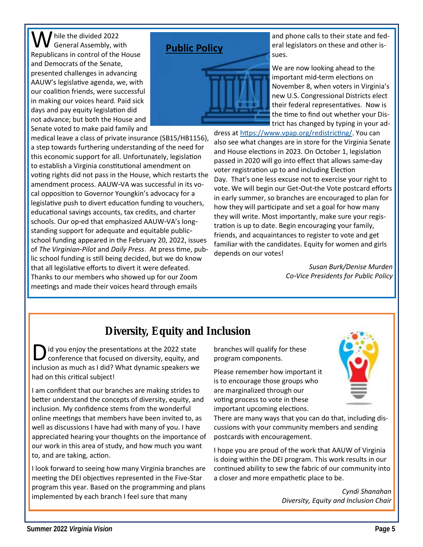W hile the divided 2022 Republicans in control of the House and Democrats of the Senate, presented challenges in advancing AAUW's legislative agenda, we, with our coalition friends, were successful in making our voices heard. Paid sick days and pay equity legislation did not advance; but both the House and Senate voted to make paid family and

medical leave a class of private insurance (SB15/HB1156), a step towards furthering understanding of the need for this economic support for all. Unfortunately, legislation to establish a Virginia constitutional amendment on voting rights did not pass in the House, which restarts the amendment process. AAUW-VA was successful in its vocal opposition to Governor Youngkin's advocacy for a legislative push to divert education funding to vouchers, educational savings accounts, tax credits, and charter schools. Our op-ed that emphasized AAUW-VA's longstanding support for adequate and equitable publicschool funding appeared in the February 20, 2022, issues of *The Virginian-Pilot* and *Daily Press*. At press time, public school funding is still being decided, but we do know that all legislative efforts to divert it were defeated. Thanks to our members who showed up for our Zoom meetings and made their voices heard through emails

### **Public Policy**



and phone calls to their state and federal legislators on these and other issues.

We are now looking ahead to the important mid-term elections on November 8, when voters in Virginia's new U.S. Congressional Districts elect their federal representatives. Now is the time to find out whether your District has changed by typing in your ad-

dress at [https://www.vpap.org/redistricting/.](https://www.vpap.org/redistricting/) You can also see what changes are in store for the Virginia Senate and House elections in 2023. On October 1, legislation passed in 2020 will go into effect that allows same-day voter registration up to and including Election Day. That's one less excuse not to exercise your right to vote. We will begin our Get-Out-the Vote postcard efforts in early summer, so branches are encouraged to plan for how they will participate and set a goal for how many they will write. Most importantly, make sure your registration is up to date. Begin encouraging your family, friends, and acquaintances to register to vote and get familiar with the candidates. Equity for women and girls depends on our votes!

> *Susan Burk/Denise Murden Co-Vice Presidents for Public Policy*

## **Diversity, Equity and Inclusion**

D id you enjoy the presentations at the 2022 state<br>conference that focused on diversity, equity, and<br>inclusion as much as I did? What dynamic speakers we id you enjoy the presentations at the 2022 state conference that focused on diversity, equity, and had on this critical subject!

I am confident that our branches are making strides to better understand the concepts of diversity, equity, and inclusion. My confidence stems from the wonderful online meetings that members have been invited to, as well as discussions I have had with many of you. I have appreciated hearing your thoughts on the importance of our work in this area of study, and how much you want to, and are taking, action.

I look forward to seeing how many Virginia branches are meeting the DEI objectives represented in the Five-Star program this year. Based on the programming and plans implemented by each branch I feel sure that many

branches will qualify for these program components.

Please remember how important it is to encourage those groups who are marginalized through our voting process to vote in these important upcoming elections.

There are many ways that you can do that, including discussions with your community members and sending postcards with encouragement.

I hope you are proud of the work that AAUW of Virginia is doing within the DEI program. This work results in our continued ability to sew the fabric of our community into a closer and more empathetic place to be.

#### *Cyndi Shanahan Diversity, Equity and Inclusion Chair*

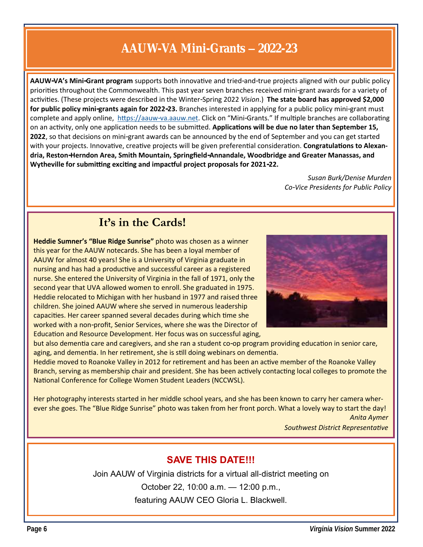## **AAUW-VA Mini-Grants – 2022-23**

**AAUW-VA's Mini-Grant program** supports both innovative and tried-and-true projects aligned with our public policy priorities throughout the Commonwealth. This past year seven branches received mini-grant awards for a variety of activities. (These projects were described in the Winter-Spring 2022 *Vision*.) **The state board has approved \$2,000 for public policy mini-grants again for 2022-23.** Branches interested in applying for a public policy mini-grant must complete and apply online, [https://aauw-va.aauw.net.](https://aauw-va.aauw.net) Click on "Mini-Grants." If multiple branches are collaborating on an activity, only one application needs to be submitted. **Applications will be due no later than September 15, 2022**, so that decisions on mini-grant awards can be announced by the end of September and you can get started with your projects. Innovative, creative projects will be given preferential consideration. **Congratulations to Alexandria, Reston-Herndon Area, Smith Mountain, Springfield-Annandale, Woodbridge and Greater Manassas, and Wytheville for submitting exciting and impactful project proposals for 2021-22.** 

> *Susan Burk/Denise Murden Co-Vice Presidents for Public Policy*

## **It's in the Cards!**

**Heddie Sumner's "Blue Ridge Sunrise"** photo was chosen as a winner this year for the AAUW notecards. She has been a loyal member of AAUW for almost 40 years! She is a University of Virginia graduate in nursing and has had a productive and successful career as a registered nurse. She entered the University of Virginia in the fall of 1971, only the second year that UVA allowed women to enroll. She graduated in 1975. Heddie relocated to Michigan with her husband in 1977 and raised three children. She joined AAUW where she served in numerous leadership capacities. Her career spanned several decades during which time she worked with a non-profit, Senior Services, where she was the Director of Education and Resource Development. Her focus was on successful aging,



but also dementia care and caregivers, and she ran a student co-op program providing education in senior care, aging, and dementia. In her retirement, she is still doing webinars on dementia.

Heddie moved to Roanoke Valley in 2012 for retirement and has been an active member of the Roanoke Valley Branch, serving as membership chair and president. She has been actively contacting local colleges to promote the National Conference for College Women Student Leaders (NCCWSL).

Her photography interests started in her middle school years, and she has been known to carry her camera wherever she goes. The "Blue Ridge Sunrise" photo was taken from her front porch. What a lovely way to start the day! *Anita Aymer* 

*Southwest District Representative*

### **SAVE THIS DATE!!!**

Join AAUW of Virginia districts for a virtual all-district meeting on

October 22, 10:00 a.m. — 12:00 p.m.,

featuring AAUW CEO Gloria L. Blackwell.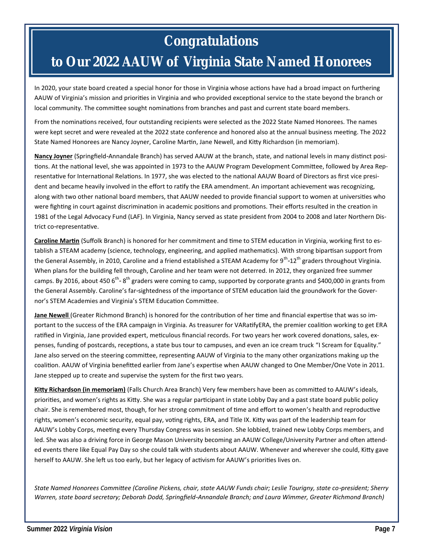## **Congratulations to Our 2022 AAUW of Virginia State Named Honorees**

In 2020, your state board created a special honor for those in Virginia whose actions have had a broad impact on furthering AAUW of Virginia's mission and priorities in Virginia and who provided exceptional service to the state beyond the branch or local community. The committee sought nominations from branches and past and current state board members.

From the nominations received, four outstanding recipients were selected as the 2022 State Named Honorees. The names were kept secret and were revealed at the 2022 state conference and honored also at the annual business meeting. The 2022 State Named Honorees are Nancy Joyner, Caroline Martin, Jane Newell, and Kitty Richardson (in memoriam).

**Nancy Joyner** (Springfield-Annandale Branch) has served AAUW at the branch, state, and national levels in many distinct positions. At the national level, she was appointed in 1973 to the AAUW Program Development Committee, followed by Area Representative for International Relations. In 1977, she was elected to the national AAUW Board of Directors as first vice president and became heavily involved in the effort to ratify the ERA amendment. An important achievement was recognizing, along with two other national board members, that AAUW needed to provide financial support to women at universities who were fighting in court against discrimination in academic positions and promotions. Their efforts resulted in the creation in 1981 of the Legal Advocacy Fund (LAF). In Virginia, Nancy served as state president from 2004 to 2008 and later Northern District co-representative.

**Caroline Martin** (Suffolk Branch) is honored for her commitment and time to STEM education in Virginia, working first to establish a STEAM academy (science, technology, engineering, and applied mathematics). With strong bipartisan support from the General Assembly, in 2010, Caroline and a friend established a STEAM Academy for 9<sup>th</sup>-12<sup>th</sup> graders throughout Virginia. When plans for the building fell through, Caroline and her team were not deterred. In 2012, they organized free summer camps. By 2016, about 450 6<sup>th</sup>-8<sup>th</sup> graders were coming to camp, supported by corporate grants and \$400,000 in grants from the General Assembly. Caroline's far-sightedness of the importance of STEM education laid the groundwork for the Governor's STEM Academies and Virginia's STEM Education Committee.

**Jane Newell** (Greater Richmond Branch) is honored for the contribution of her time and financial expertise that was so important to the success of the ERA campaign in Virginia. As treasurer for VARatifyERA, the premier coalition working to get ERA ratified in Virginia, Jane provided expert, meticulous financial records. For two years her work covered donations, sales, expenses, funding of postcards, receptions, a state bus tour to campuses, and even an ice cream truck "I Scream for Equality." Jane also served on the steering committee, representing AAUW of Virginia to the many other organizations making up the coalition. AAUW of Virginia benefitted earlier from Jane's expertise when AAUW changed to One Member/One Vote in 2011. Jane stepped up to create and supervise the system for the first two years.

**Kitty Richardson (in memoriam)** (Falls Church Area Branch) Very few members have been as committed to AAUW's ideals, priorities, and women's rights as Kitty. She was a regular participant in state Lobby Day and a past state board public policy chair. She is remembered most, though, for her strong commitment of time and effort to women's health and reproductive rights, women's economic security, equal pay, voting rights, ERA, and Title IX. Kitty was part of the leadership team for AAUW's Lobby Corps, meeting every Thursday Congress was in session. She lobbied, trained new Lobby Corps members, and led. She was also a driving force in George Mason University becoming an AAUW College/University Partner and often attended events there like Equal Pay Day so she could talk with students about AAUW. Whenever and wherever she could, Kitty gave herself to AAUW. She left us too early, but her legacy of activism for AAUW's priorities lives on.

*State Named Honorees Committee (Caroline Pickens, chair, state AAUW Funds chair; Leslie Tourigny, state co-president; Sherry Warren, state board secretary; Deborah Dodd, Springfield-Annandale Branch; and Laura Wimmer, Greater Richmond Branch)*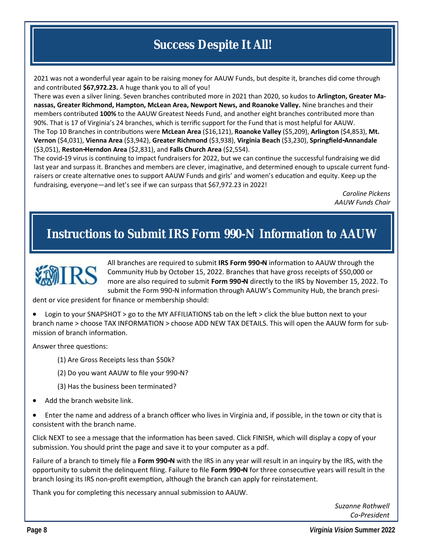## **Success Despite It All!**

2021 was not a wonderful year again to be raising money for AAUW Funds, but despite it, branches did come through and contributed **\$67,972.23.** A huge thank you to all of you!

There was even a silver lining. Seven branches contributed more in 2021 than 2020, so kudos to **Arlington, Greater Manassas, Greater Richmond, Hampton, McLean Area, Newport News, and Roanoke Valley.** Nine branches and their members contributed **100%** to the AAUW Greatest Needs Fund, and another eight branches contributed more than 90%. That is 17 of Virginia's 24 branches, which is terrific support for the Fund that is most helpful for AAUW. The Top 10 Branches in contributions were **McLean Area** (\$16,121), **Roanoke Valley** (\$5,209), **Arlington** (\$4,853), **Mt. Vernon** (\$4,031), **Vienna Area** (\$3,942), **Greater Richmond** (\$3,938), **Virginia Beach** (\$3,230), **Springfield-Annandale**  (\$3,051), **Reston-Herndon Area** (\$2,831), and **Falls Church Area** (\$2,554).

The covid-19 virus is continuing to impact fundraisers for 2022, but we can continue the successful fundraising we did last year and surpass it. Branches and members are clever, imaginative, and determined enough to upscale current fundraisers or create alternative ones to support AAUW Funds and girls' and women's education and equity. Keep up the fundraising, everyone—and let's see if we can surpass that \$67,972.23 in 2022!

> *Caroline Pickens AAUW Funds Chair*

## **Instructions to Submit IRS Form 990-N Information to AAUW**



All branches are required to submit **IRS Form 990-N** information to AAUW through the Community Hub by October 15, 2022. Branches that have gross receipts of \$50,000 or more are also required to submit **Form 990-N** directly to the IRS by November 15, 2022. To submit the Form 990-N information through AAUW's Community Hub, the branch presi-

dent or vice president for finance or membership should:

• Login to your SNAPSHOT > go to the MY AFFILIATIONS tab on the left > click the blue button next to your branch name > choose TAX INFORMATION > choose ADD NEW TAX DETAILS. This will open the AAUW form for submission of branch information.

Answer three questions:

- (1) Are Gross Receipts less than \$50k?
- (2) Do you want AAUW to file your 990-N?
- (3) Has the business been terminated?
- Add the branch website link.

• Enter the name and address of a branch officer who lives in Virginia and, if possible, in the town or city that is consistent with the branch name.

Click NEXT to see a message that the information has been saved. Click FINISH, which will display a copy of your submission. You should print the page and save it to your computer as a pdf.

Failure of a branch to timely file a **Form 990-N** with the IRS in any year will result in an inquiry by the IRS, with the opportunity to submit the delinquent filing. Failure to file **Form 990-N** for three consecutive years will result in the branch losing its IRS non-profit exemption, although the branch can apply for reinstatement.

Thank you for completing this necessary annual submission to AAUW.

*Suzanne Rothwell Co-President*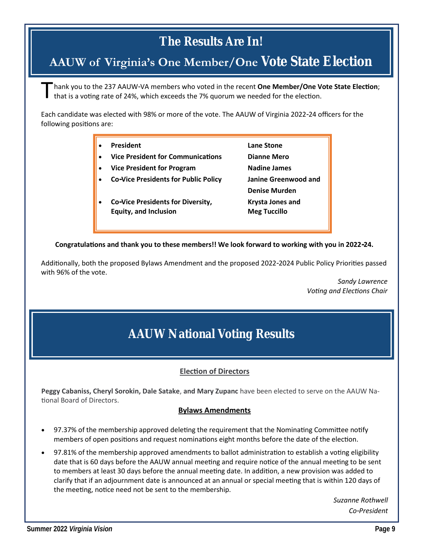## **The Results Are In!**

## **AAUW of Virginia's One Member/One Vote State Election**

T hank you to the 237 AAUW-VA members who voted in the recent **One Member/One Vote State Election**; that is a voting rate of 24%, which exceeds the 7% quorum we needed for the election.

Each candidate was elected with 98% or more of the vote. The AAUW of Virginia 2022-24 officers for the following positions are:

| <b>President</b>                                                  | Lane Stone                              |
|-------------------------------------------------------------------|-----------------------------------------|
| <b>Vice President for Communications</b>                          | <b>Dianne Mero</b>                      |
| <b>Vice President for Program</b>                                 | <b>Nadine James</b>                     |
| <b>Co-Vice Presidents for Public Policy</b>                       | Janine Greenwood and                    |
|                                                                   | <b>Denise Murden</b>                    |
| Co-Vice Presidents for Diversity,<br><b>Equity, and Inclusion</b> | Krysta Jones and<br><b>Meg Tuccillo</b> |

**Congratulations and thank you to these members!! We look forward to working with you in 2022-24.**

Additionally, both the proposed Bylaws Amendment and the proposed 2022-2024 Public Policy Priorities passed with 96% of the vote.

> *Sandy Lawrence Voting and Elections Chair*

## **AAUW National Voting Results**

#### **Election of Directors**

**Peggy Cabaniss, Cheryl Sorokin, Dale Satake**, **and Mary Zupanc** have been elected to serve on the AAUW National Board of Directors.

#### **Bylaws Amendments**

- 97.37% of the membership approved deleting the requirement that the Nominating Committee notify members of open positions and request nominations eight months before the date of the election.
- 97.81% of the membership approved amendments to ballot administration to establish a voting eligibility date that is 60 days before the AAUW annual meeting and require notice of the annual meeting to be sent to members at least 30 days before the annual meeting date. In addition, a new provision was added to clarify that if an adjournment date is announced at an annual or special meeting that is within 120 days of the meeting, notice need not be sent to the membership.

*Suzanne Rothwell Co-President*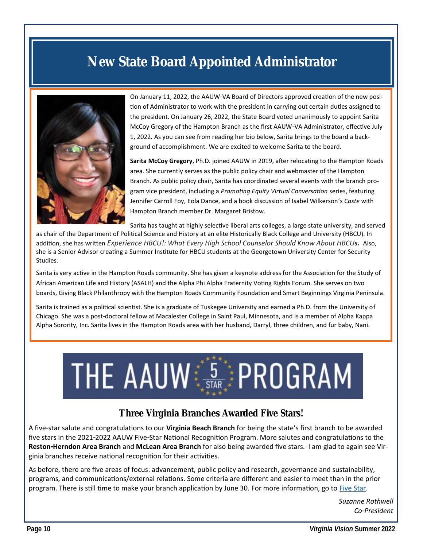## **New State Board Appointed Administrator**



On January 11, 2022, the AAUW-VA Board of Directors approved creation of the new position of Administrator to work with the president in carrying out certain duties assigned to the president. On January 26, 2022, the State Board voted unanimously to appoint Sarita McCoy Gregory of the Hampton Branch as the first AAUW-VA Administrator, effective July 1, 2022. As you can see from reading her bio below, Sarita brings to the board a background of accomplishment. We are excited to welcome Sarita to the board.

**Sarita McCoy Gregory**, Ph.D. joined AAUW in 2019, after relocating to the Hampton Roads area. She currently serves as the public policy chair and webmaster of the Hampton Branch. As public policy chair, Sarita has coordinated several events with the branch program vice president, including a *Promoting Equity Virtual Conversation* series, featuring Jennifer Carroll Foy, Eola Dance, and a book discussion of Isabel Wilkerson's *Caste* with Hampton Branch member Dr. Margaret Bristow.

Sarita has taught at highly selective liberal arts colleges, a large state university, and served

as chair of the Department of Political Science and History at an elite Historically Black College and University (HBCU). In addition, she has written *Experience HBCU!: What Every High School Counselor Should Know About HBCUs.* Also, she is a Senior Advisor creating a Summer Institute for HBCU students at the Georgetown University Center for Security Studies.

Sarita is very active in the Hampton Roads community. She has given a keynote address for the Association for the Study of African American Life and History (ASALH) and the Alpha Phi Alpha Fraternity Voting Rights Forum. She serves on two boards, Giving Black Philanthropy with the Hampton Roads Community Foundation and Smart Beginnings Virginia Peninsula.

Sarita is trained as a political scientist. She is a graduate of Tuskegee University and earned a Ph.D. from the University of Chicago. She was a post-doctoral fellow at Macalester College in Saint Paul, Minnesota, and is a member of Alpha Kappa Alpha Sorority, Inc. Sarita lives in the Hampton Roads area with her husband, Darryl, three children, and fur baby, Nani.

# THE AAUW STAR PROGRAM

#### **Three Virginia Branches Awarded Five Stars!**

A five-star salute and congratulations to our **Virginia Beach Branch** for being the state's first branch to be awarded five stars in the 2021-2022 AAUW Five-Star National Recognition Program. More salutes and congratulations to the **Reston-Herndon Area Branch** and **McLean Area Branch** for also being awarded five stars. I am glad to again see Virginia branches receive national recognition for their activities.

As before, there are five areas of focus: advancement, public policy and research, governance and sustainability, programs, and communications/external relations. Some criteria are different and easier to meet than in the prior program. There is still time to make your branch application by June 30. For more information, go to [Five Star.](https://www.aauw.org/resources/member/initiatives/5-star-program/)

> *Suzanne Rothwell Co-President*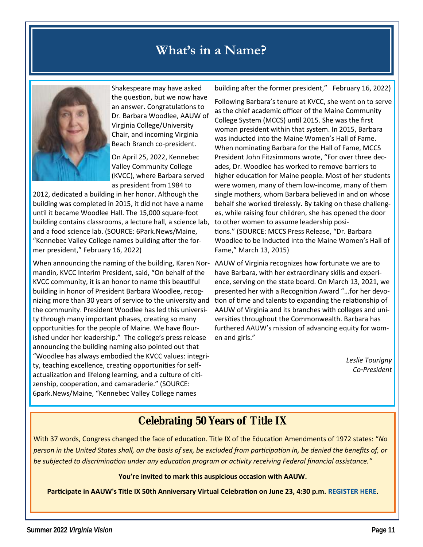## **What's in a Name?**



Shakespeare may have asked the question, but we now have an answer. Congratulations to Dr. Barbara Woodlee, AAUW of Virginia College/University Chair, and incoming Virginia Beach Branch co-president.

On April 25, 2022, Kennebec Valley Community College (KVCC), where Barbara served as president from 1984 to

2012, dedicated a building in her honor. Although the building was completed in 2015, it did not have a name until it became Woodlee Hall. The 15,000 square-foot building contains classrooms, a lecture hall, a science lab, and a food science lab. (SOURCE: 6Park.News/Maine, "Kennebec Valley College names building after the former president," February 16, 2022)

When announcing the naming of the building, Karen Nor-AAUW of Virginia recognizes how fortunate we are to mandin, KVCC Interim President, said, "On behalf of the KVCC community, it is an honor to name this beautiful building in honor of President Barbara Woodlee, recognizing more than 30 years of service to the university and the community. President Woodlee has led this university through many important phases, creating so many opportunities for the people of Maine. We have flourished under her leadership." The college's press release announcing the building naming also pointed out that "Woodlee has always embodied the KVCC values: integrity, teaching excellence, creating opportunities for selfactualization and lifelong learning, and a culture of citizenship, cooperation, and camaraderie." (SOURCE: 6park.News/Maine, "Kennebec Valley College names

building after the former president," February 16, 2022)

Following Barbara's tenure at KVCC, she went on to serve as the chief academic officer of the Maine Community College System (MCCS) until 2015. She was the first woman president within that system. In 2015, Barbara was inducted into the Maine Women's Hall of Fame. When nominating Barbara for the Hall of Fame, MCCS President John Fitzsimmons wrote, "For over three decades, Dr. Woodlee has worked to remove barriers to higher education for Maine people. Most of her students were women, many of them low-income, many of them single mothers, whom Barbara believed in and on whose behalf she worked tirelessly. By taking on these challenges, while raising four children, she has opened the door to other women to assume leadership positions." (SOURCE: MCCS Press Release, "Dr. Barbara Woodlee to be Inducted into the Maine Women's Hall of Fame," March 13, 2015)

have Barbara, with her extraordinary skills and experience, serving on the state board. On March 13, 2021, we presented her with a Recognition Award "…for her devotion of time and talents to expanding the relationship of AAUW of Virginia and its branches with colleges and universities throughout the Commonwealth. Barbara has furthered AAUW's mission of advancing equity for women and girls."

> *Leslie Tourigny Co-President*

## **Celebrating 50 Years of Title IX**

With 37 words, Congress changed the face of education. Title IX of the Education Amendments of 1972 states: "*No person in the United States shall, on the basis of sex, be excluded from participation in, be denied the benefits of, or be subjected to discrimination under any education program or activity receiving Federal financial assistance."*

**You're invited to mark this auspicious occasion with AAUW.** 

**Participate in AAUW's Title IX 50th Anniversary Virtual Celebration on June 23, 4:30 p.m. [REGISTER HERE.](https://us02web.zoom.us/webinar/register/WN_plHsRyu4RrSeaYPkItm3Sw)**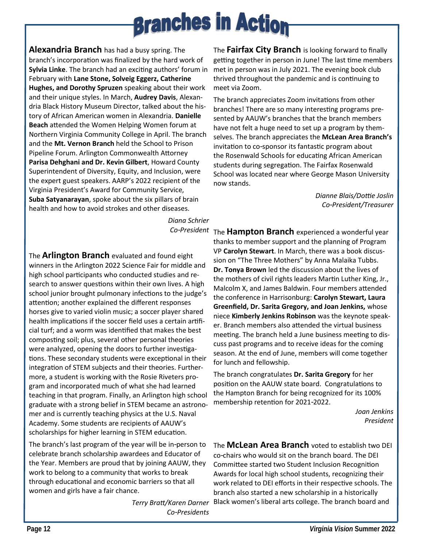**Alexandria Branch** has had a busy spring. The branch's incorporation was finalized by the hard work of **Sylvia Linke**. The branch had an exciting authors' forum in February with **Lane Stone, Solveig Eggerz, Catherine Hughes, and Dorothy Spruzen** speaking about their work and their unique styles. In March, **Audrey Davis**, Alexandria Black History Museum Director, talked about the history of African American women in Alexandria. **Danielle Beach** attended the Women Helping Women forum at Northern Virginia Community College in April. The branch and the **Mt. Vernon Branch** held the School to Prison Pipeline Forum. Arlington Commonwealth Attorney **Parisa Dehghani and Dr. Kevin Gilbert**, Howard County Superintendent of Diversity, Equity, and Inclusion, were the expert guest speakers. AARP's 2022 recipient of the Virginia President's Award for Community Service, **Suba Satyanarayan**, spoke about the six pillars of brain health and how to avoid strokes and other diseases.

*Diana Schrier*

The **Arlington Branch** evaluated and found eight winners in the Arlington 2022 Science Fair for middle and high school participants who conducted studies and research to answer questions within their own lives. A high school junior brought pulmonary infections to the judge's attention; another explained the different responses horses give to varied violin music; a soccer player shared health implications if the soccer field uses a certain artificial turf; and a worm was identified that makes the best composting soil; plus, several other personal theories were analyzed, opening the doors to further investigations. These secondary students were exceptional in their integration of STEM subjects and their theories. Furthermore, a student is working with the Rosie Riveters program and incorporated much of what she had learned teaching in that program. Finally, an Arlington high school graduate with a strong belief in STEM became an astronomer and is currently teaching physics at the U.S. Naval Academy. Some students are recipients of AAUW's scholarships for higher learning in STEM education.

The branch's last program of the year will be in-person to celebrate branch scholarship awardees and Educator of the Year. Members are proud that by joining AAUW, they work to belong to a community that works to break through educational and economic barriers so that all women and girls have a fair chance.

> *Terry Bratt/Karen Darner Co-Presidents*

The **Fairfax City Branch** is looking forward to finally getting together in person in June! The last time members met in person was in July 2021. The evening book club thrived throughout the pandemic and is continuing to meet via Zoom.

The branch appreciates Zoom invitations from other branches! There are so many interesting programs presented by AAUW's branches that the branch members have not felt a huge need to set up a program by themselves. The branch appreciates the **McLean Area Branch's**  invitation to co-sponsor its fantastic program about the Rosenwald Schools for educating African American students during segregation. The Fairfax Rosenwald School was located near where George Mason University now stands.

> *Dianne Blais/Dottie Joslin Co-President/Treasurer*

*Co-President* The **Hampton Branch** experienced a wonderful year thanks to member support and the planning of Program VP **Carolyn Stewart**. In March, there was a book discussion on "The Three Mothers" by Anna Malaika Tubbs. **Dr. Tonya Brown** led the discussion about the lives of the mothers of civil rights leaders Martin Luther King, Jr., Malcolm X, and James Baldwin. Four members attended the conference in Harrisonburg: **Carolyn Stewart, Laura Greenfield, Dr. Sarita Gregory, and Joan Jenkins,** whose niece **Kimberly Jenkins Robinson** was the keynote speaker. Branch members also attended the virtual business meeting. The branch held a June business meeting to discuss past programs and to receive ideas for the coming season. At the end of June, members will come together for lunch and fellowship.

> The branch congratulates **Dr. Sarita Gregory** for her position on the AAUW state board. Congratulations to the Hampton Branch for being recognized for its 100% membership retention for 2021-2022.

> > *Joan Jenkins President*

The **McLean Area Branch** voted to establish two DEI co-chairs who would sit on the branch board. The DEI Committee started two Student Inclusion Recognition Awards for local high school students, recognizing their work related to DEI efforts in their respective schools. The branch also started a new scholarship in a historically Black women's liberal arts college. The branch board and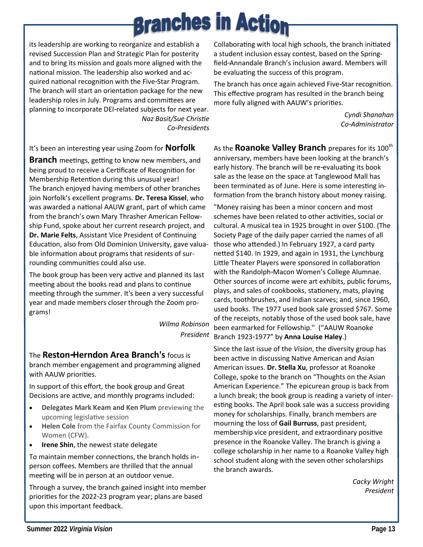its leadership are working to reorganize and establish a revised Succession Plan and Strategic Plan for posterity and to bring its mission and goals more aligned with the national mission. The leadership also worked and acquired national recognition with the Five-Star Program. The branch will start an orientation package for the new leadership roles in July. Programs and committees are planning to incorporate DEI-related subjects for next year. *Naz Basit/Sue Christie*

*Co-Presidents*

It's been an interesting year using Zoom for **Norfolk** 

**Branch** meetings, getting to know new members, and being proud to receive a Certificate of Recognition for Membership Retention during this unusual year! The branch enjoyed having members of other branches join Norfolk's excellent programs. **Dr. Teresa Kissel**, who was awarded a national AAUW grant, part of which came from the branch's own Mary Thrasher American Fellowship Fund, spoke about her current research project, and **Dr. Marie Felts**, Assistant Vice President of Continuing Education, also from Old Dominion University, gave valuable information about programs that residents of surrounding communities could also use.

The book group has been very active and planned its last meeting about the books read and plans to continue meeting through the summer. It's been a very successful year and made members closer through the Zoom programs!

> *Wilma Robinson President*

The **Reston-Herndon Area Branch's** focus is branch member engagement and programming aligned with AAUW priorities.

In support of this effort, the book group and Great Decisions are active, and monthly programs included:

- **Delegates Mark Keam and Ken Plum** previewing the upcoming legislative session
- **Helen Cole** from the Fairfax County Commission for Women (CFW).
- **Irene Shin**, the newest state delegate

To maintain member connections, the branch holds inperson coffees. Members are thrilled that the annual meeting will be in person at an outdoor venue.

Through a survey, the branch gained insight into member priorities for the 2022-23 program year; plans are based upon this important feedback.

Collaborating with local high schools, the branch initiated a student inclusion essay contest, based on the Springfield-Annandale Branch's inclusion award. Members will be evaluating the success of this program.

The branch has once again achieved Five-Star recognition. This effective program has resulted in the branch being more fully aligned with AAUW's priorities.

> *Cyndi Shanahan Co-Administrator*

As the **Roanoke Valley Branch** prepares for its 100<sup>th</sup> anniversary, members have been looking at the branch's early history. The branch will be re-evaluating its book sale as the lease on the space at Tanglewood Mall has been terminated as of June. Here is some interesting information from the branch history about money raising.

"Money raising has been a minor concern and most schemes have been related to other activities, social or cultural. A musical tea in 1925 brought in over \$100. (The Society Page of the daily paper carried the names of all those who attended.) In February 1927, a card party netted \$140. In 1929, and again in 1931, the Lynchburg Little Theater Players were sponsored in collaboration with the Randolph-Macon Women's College Alumnae. Other sources of income were art exhibits, public forums, plays, and sales of cookbooks, stationery, mats, playing cards, toothbrushes, and Indian scarves; and, since 1960, used books. The 1977 used book sale grossed \$767. Some of the receipts, notably those of the used book sale, have been earmarked for Fellowship." ("AAUW Roanoke Branch 1923-1977" by **Anna Louise Haley**.)

Since the last issue of the *Vision*, the diversity group has been active in discussing Native American and Asian American issues. **Dr. Stella Xu**, professor at Roanoke College, spoke to the branch on "Thoughts on the Asian American Experience." The epicurean group is back from a lunch break; the book group is reading a variety of interesting books. The April book sale was a success providing money for scholarships. Finally, branch members are mourning the loss of **Gail Burruss**, past president, membership vice president, and extraordinary positive presence in the Roanoke Valley. The branch is giving a college scholarship in her name to a Roanoke Valley high school student along with the seven other scholarships the branch awards.

> *Cacky Wright President*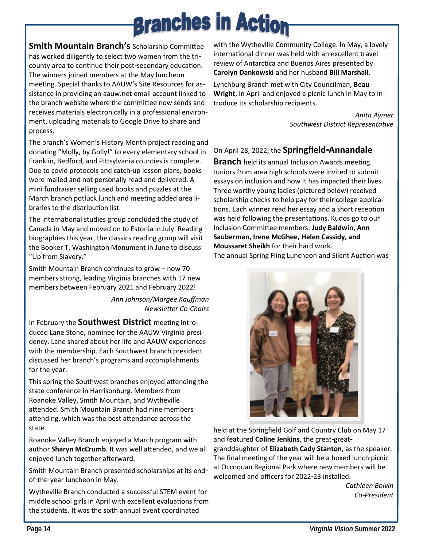**Smith Mountain Branch's** Scholarship Committee has worked diligently to select two women from the tricounty area to continue their post-secondary education. The winners joined members at the May luncheon meeting. Special thanks to AAUW's Site Resources for assistance in providing an aauw.net email account linked to the branch website where the committee now sends and receives materials electronically in a professional environment, uploading materials to Google Drive to share and process.

The branch's Women's History Month project reading and donating "Molly, by Golly!" to every elementary school in Franklin, Bedford, and Pittsylvania counties is complete. Due to covid protocols and catch-up lesson plans, books were mailed and not personally read and delivered. A mini fundraiser selling used books and puzzles at the March branch potluck lunch and meeting added area libraries to the distribution list.

The international studies group concluded the study of Canada in May and moved on to Estonia in July. Reading biographies this year, the classics reading group will visit the Booker T. Washington Monument in June to discuss "Up from Slavery."

Smith Mountain Branch continues to grow – now 70 members strong, leading Virginia branches with 17 new members between February 2021 and February 2022!

> *Ann Johnson/Margee Kauffman Newsletter Co-Chairs*

In February the **Southwest District** meeting introduced Lane Stone, nominee for the AAUW Virginia presidency. Lane shared about her life and AAUW experiences with the membership. Each Southwest branch president discussed her branch's programs and accomplishments for the year.

This spring the Southwest branches enjoyed attending the state conference in Harrisonburg. Members from Roanoke Valley, Smith Mountain, and Wytheville attended. Smith Mountain Branch had nine members attending, which was the best attendance across the state.

Roanoke Valley Branch enjoyed a March program with author **Sharyn McCrumb**. It was well attended, and we all enjoyed lunch together afterward.

Smith Mountain Branch presented scholarships at its endof-the-year luncheon in May.

Wytheville Branch conducted a successful STEM event for middle school girls in April with excellent evaluations from the students. It was the sixth annual event coordinated

with the Wytheville Community College. In May, a lovely international dinner was held with an excellent travel review of Antarctica and Buenos Aires presented by **Carolyn Dankowski** and her husband **Bill Marshall**.

Lynchburg Branch met with City Councilman, **Beau Wright**, in April and enjoyed a picnic lunch in May to introduce its scholarship recipients.

> *Anita Aymer Southwest District Representative*

#### On April 28, 2022, the **Springfield-Annandale**

**Branch** held its annual Inclusion Awards meeting. Juniors from area high schools were invited to submit essays on inclusion and how it has impacted their lives. Three worthy young ladies (pictured below) received scholarship checks to help pay for their college applications. Each winner read her essay and a short reception was held following the presentations. Kudos go to our Inclusion Committee members: **Judy Baldwin, Ann Sauberman, Irene McGhee, Helen Cassidy, and Moussaret Sheikh** for their hard work. The annual Spring Fling Luncheon and Silent Auction was



held at the Springfield Golf and Country Club on May 17 and featured **Coline Jenkins**, the great-greatgranddaughter of **Elizabeth Cady Stanton**, as the speaker. The final meeting of the year will be a boxed lunch picnic at Occoquan Regional Park where new members will be welcomed and officers for 2022-23 installed.

> *Cathleen Boivin Co-President*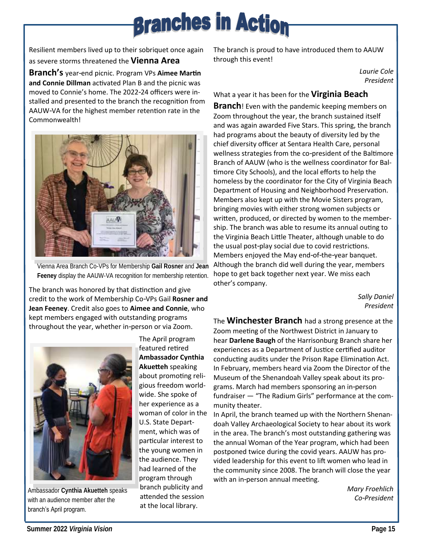Resilient members lived up to their sobriquet once again as severe storms threatened the **Vienna Area** 

**Branch's** year-end picnic. Program VPs **Aimee Martin and Connie Dillman** activated Plan B and the picnic was moved to Connie's home. The 2022-24 officers were installed and presented to the branch the recognition from AAUW-VA for the highest member retention rate in the Commonwealth!



Vienna Area Branch Co-VPs for Membership **Gail Rosner** and **Jean Feeney** display the AAUW-VA recognition for membership retention.

The branch was honored by that distinction and give credit to the work of Membership Co-VPs Gail **Rosner and Jean Feeney**. Credit also goes to **Aimee and Connie**, who kept members engaged with outstanding programs throughout the year, whether in-person or via Zoom.



Ambassador **Cynthia Akuetteh** speaks with an audience member after the branch's April program.

The April program featured retired **Ambassador Cynthia Akuetteh** speaking about promoting religious freedom worldwide. She spoke of her experience as a woman of color in the U.S. State Department, which was of particular interest to the young women in the audience. They had learned of the program through branch publicity and attended the session at the local library.

The branch is proud to have introduced them to AAUW through this event!

> *Laurie Cole President*

#### What a year it has been for the **Virginia Beach**

**Branch**! Even with the pandemic keeping members on Zoom throughout the year, the branch sustained itself and was again awarded Five Stars. This spring, the branch had programs about the beauty of diversity led by the chief diversity officer at Sentara Health Care, personal wellness strategies from the co-president of the Baltimore Branch of AAUW (who is the wellness coordinator for Baltimore City Schools), and the local efforts to help the homeless by the coordinator for the City of Virginia Beach Department of Housing and Neighborhood Preservation. Members also kept up with the Movie Sisters program, bringing movies with either strong women subjects or written, produced, or directed by women to the membership. The branch was able to resume its annual outing to the Virginia Beach Little Theater, although unable to do the usual post-play social due to covid restrictions. Members enjoyed the May end-of-the-year banquet. Although the branch did well during the year, members hope to get back together next year. We miss each other's company.

> *Sally Daniel President*

The **Winchester Branch** had a strong presence at the Zoom meeting of the Northwest District in January to hear **Darlene Baugh** of the Harrisonburg Branch share her experiences as a Department of Justice certified auditor conducting audits under the Prison Rape Elimination Act. In February, members heard via Zoom the Director of the Museum of the Shenandoah Valley speak about its programs. March had members sponsoring an in-person fundraiser — "The Radium Girls" performance at the community theater.

In April, the branch teamed up with the Northern Shenandoah Valley Archaeological Society to hear about its work in the area. The branch's most outstanding gathering was the annual Woman of the Year program, which had been postponed twice during the covid years. AAUW has provided leadership for this event to lift women who lead in the community since 2008. The branch will close the year with an in-person annual meeting.

*Mary Froehlich Co-President*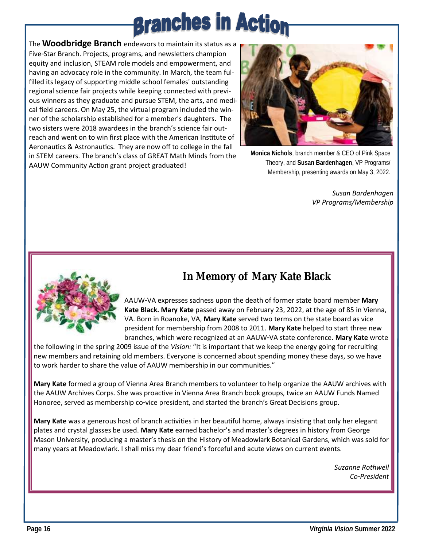The **Woodbridge Branch** endeavors to maintain its status as a Five-Star Branch. Projects, programs, and newsletters champion equity and inclusion, STEAM role models and empowerment, and having an advocacy role in the community. In March, the team fulfilled its legacy of supporting middle school females' outstanding regional science fair projects while keeping connected with previous winners as they graduate and pursue STEM, the arts, and medical field careers. On May 25, the virtual program included the winner of the scholarship established for a member's daughters. The two sisters were 2018 awardees in the branch's science fair outreach and went on to win first place with the American Institute of Aeronautics & Astronautics. They are now off to college in the fall in STEM careers. The branch's class of GREAT Math Minds from the AAUW Community Action grant project graduated!



**Monica Nichols**, branch member & CEO of Pink Space Theory, and **Susan Bardenhagen**, VP Programs/ Membership, presenting awards on May 3, 2022.

*Susan Bardenhagen VP Programs/Membership*



## **In Memory of Mary Kate Black**

AAUW-VA expresses sadness upon the death of former state board member **Mary Kate Black. Mary Kate** passed away on February 23, 2022, at the age of 85 in Vienna, VA. Born in Roanoke, VA, **Mary Kate** served two terms on the state board as vice president for membership from 2008 to 2011. **Mary Kate** helped to start three new branches, which were recognized at an AAUW-VA state conference. **Mary Kate** wrote

the following in the spring 2009 issue of the *Vision:* "It is important that we keep the energy going for recruiting new members and retaining old members. Everyone is concerned about spending money these days, so we have to work harder to share the value of AAUW membership in our communities."

**Mary Kate** formed a group of Vienna Area Branch members to volunteer to help organize the AAUW archives with the AAUW Archives Corps. She was proactive in Vienna Area Branch book groups, twice an AAUW Funds Named Honoree, served as membership co-vice president, and started the branch's Great Decisions group.

**Mary Kate** was a generous host of branch activities in her beautiful home, always insisting that only her elegant plates and crystal glasses be used. **Mary Kate** earned bachelor's and master's degrees in history from George Mason University, producing a master's thesis on the History of Meadowlark Botanical Gardens, which was sold for many years at Meadowlark. I shall miss my dear friend's forceful and acute views on current events.

> *Suzanne Rothwell Co-President*